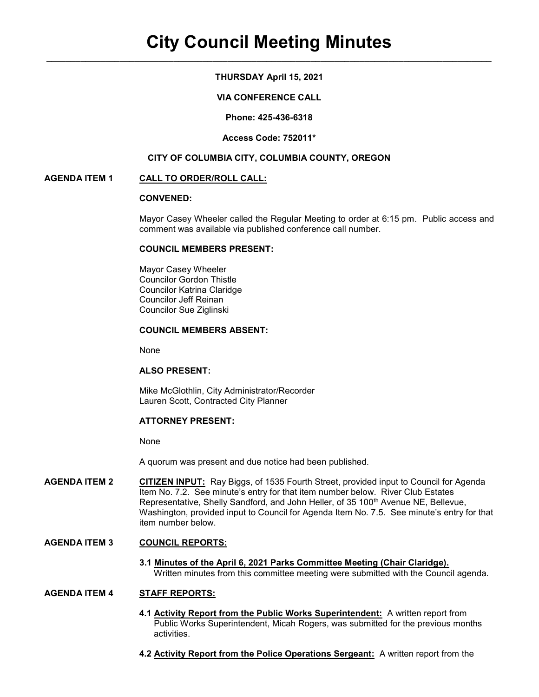## THURSDAY April 15, 2021

### VIA CONFERENCE CALL

Phone: 425-436-6318

#### Access Code: 752011\*

#### CITY OF COLUMBIA CITY, COLUMBIA COUNTY, OREGON

#### AGENDA ITEM 1 CALL TO ORDER/ROLL CALL:

## CONVENED:

Mayor Casey Wheeler called the Regular Meeting to order at 6:15 pm. Public access and comment was available via published conference call number.

#### COUNCIL MEMBERS PRESENT:

 Mayor Casey Wheeler Councilor Gordon Thistle Councilor Katrina Claridge Councilor Jeff Reinan Councilor Sue Ziglinski

#### COUNCIL MEMBERS ABSENT:

None

#### ALSO PRESENT:

Mike McGlothlin, City Administrator/Recorder Lauren Scott, Contracted City Planner

# ATTORNEY PRESENT:

None

A quorum was present and due notice had been published.

AGENDA ITEM 2 CITIZEN INPUT: Ray Biggs, of 1535 Fourth Street, provided input to Council for Agenda Item No. 7.2. See minute's entry for that item number below. River Club Estates Representative, Shelly Sandford, and John Heller, of 35 100<sup>th</sup> Avenue NE, Bellevue, Washington, provided input to Council for Agenda Item No. 7.5. See minute's entry for that item number below.

## AGENDA ITEM 3 COUNCIL REPORTS:

 3.1 Minutes of the April 6, 2021 Parks Committee Meeting (Chair Claridge). Written minutes from this committee meeting were submitted with the Council agenda.

#### AGENDA ITEM 4 STAFF REPORTS:

- 4.1 Activity Report from the Public Works Superintendent: A written report from Public Works Superintendent, Micah Rogers, was submitted for the previous months activities.
- 4.2 Activity Report from the Police Operations Sergeant: A written report from the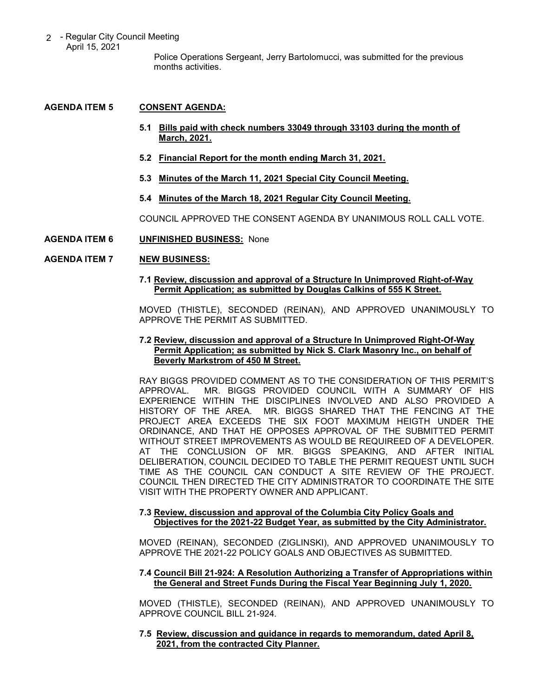2 - Regular City Council Meeting April 15, 2021

 Police Operations Sergeant, Jerry Bartolomucci, was submitted for the previous months activities.

## AGENDA ITEM 5 CONSENT AGENDA:

- 5.1 Bills paid with check numbers 33049 through 33103 during the month of March, 2021.
- 5.2 Financial Report for the month ending March 31, 2021.
- 5.3 Minutes of the March 11, 2021 Special City Council Meeting.
- 5.4 Minutes of the March 18, 2021 Regular City Council Meeting.

COUNCIL APPROVED THE CONSENT AGENDA BY UNANIMOUS ROLL CALL VOTE.

#### AGENDA ITEM 6 UNFINISHED BUSINESS: None

# AGENDA ITEM 7 NEW BUSINESS:

#### 7.1 Review, discussion and approval of a Structure In Unimproved Right-of-Way Permit Application; as submitted by Douglas Calkins of 555 K Street.

MOVED (THISTLE), SECONDED (REINAN), AND APPROVED UNANIMOUSLY TO APPROVE THE PERMIT AS SUBMITTED.

### 7.2 Review, discussion and approval of a Structure In Unimproved Right-Of-Way Permit Application; as submitted by Nick S. Clark Masonry Inc., on behalf of Beverly Markstrom of 450 M Street.

RAY BIGGS PROVIDED COMMENT AS TO THE CONSIDERATION OF THIS PERMIT'S APPROVAL. MR. BIGGS PROVIDED COUNCIL WITH A SUMMARY OF HIS EXPERIENCE WITHIN THE DISCIPLINES INVOLVED AND ALSO PROVIDED A HISTORY OF THE AREA. MR. BIGGS SHARED THAT THE FENCING AT THE PROJECT AREA EXCEEDS THE SIX FOOT MAXIMUM HEIGTH UNDER THE ORDINANCE, AND THAT HE OPPOSES APPROVAL OF THE SUBMITTED PERMIT WITHOUT STREET IMPROVEMENTS AS WOULD BE REQUIREED OF A DEVELOPER. AT THE CONCLUSION OF MR. BIGGS SPEAKING, AND AFTER INITIAL DELIBERATION, COUNCIL DECIDED TO TABLE THE PERMIT REQUEST UNTIL SUCH TIME AS THE COUNCIL CAN CONDUCT A SITE REVIEW OF THE PROJECT. COUNCIL THEN DIRECTED THE CITY ADMINISTRATOR TO COORDINATE THE SITE VISIT WITH THE PROPERTY OWNER AND APPLICANT.

#### 7.3 Review, discussion and approval of the Columbia City Policy Goals and Objectives for the 2021-22 Budget Year, as submitted by the City Administrator.

MOVED (REINAN), SECONDED (ZIGLINSKI), AND APPROVED UNANIMOUSLY TO APPROVE THE 2021-22 POLICY GOALS AND OBJECTIVES AS SUBMITTED.

#### 7.4 Council Bill 21-924: A Resolution Authorizing a Transfer of Appropriations within the General and Street Funds During the Fiscal Year Beginning July 1, 2020.

MOVED (THISTLE), SECONDED (REINAN), AND APPROVED UNANIMOUSLY TO APPROVE COUNCIL BILL 21-924.

### 7.5 Review, discussion and guidance in regards to memorandum, dated April 8, 2021, from the contracted City Planner.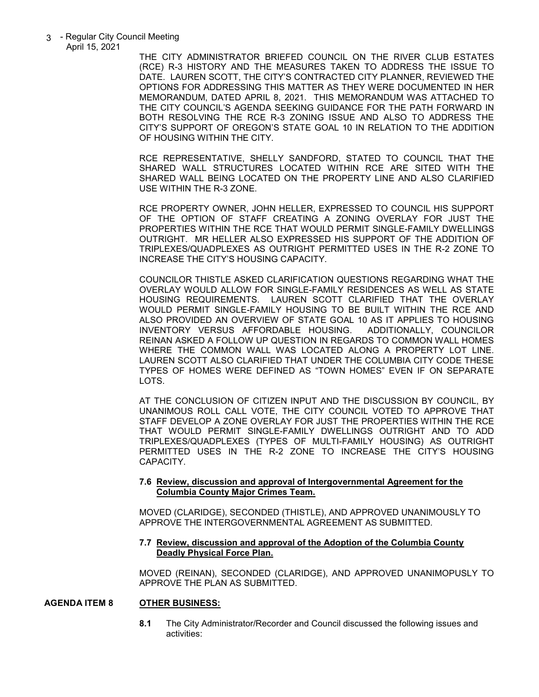3 - Regular City Council Meeting April 15, 2021

THE CITY ADMINISTRATOR BRIEFED COUNCIL ON THE RIVER CLUB ESTATES (RCE) R-3 HISTORY AND THE MEASURES TAKEN TO ADDRESS THE ISSUE TO DATE. LAUREN SCOTT, THE CITY'S CONTRACTED CITY PLANNER, REVIEWED THE OPTIONS FOR ADDRESSING THIS MATTER AS THEY WERE DOCUMENTED IN HER MEMORANDUM, DATED APRIL 8, 2021. THIS MEMORANDUM WAS ATTACHED TO THE CITY COUNCIL'S AGENDA SEEKING GUIDANCE FOR THE PATH FORWARD IN BOTH RESOLVING THE RCE R-3 ZONING ISSUE AND ALSO TO ADDRESS THE CITY'S SUPPORT OF OREGON'S STATE GOAL 10 IN RELATION TO THE ADDITION OF HOUSING WITHIN THE CITY.

RCE REPRESENTATIVE, SHELLY SANDFORD, STATED TO COUNCIL THAT THE SHARED WALL STRUCTURES LOCATED WITHIN RCE ARE SITED WITH THE SHARED WALL BEING LOCATED ON THE PROPERTY LINE AND ALSO CLARIFIED USE WITHIN THE R-3 ZONE.

RCE PROPERTY OWNER, JOHN HELLER, EXPRESSED TO COUNCIL HIS SUPPORT OF THE OPTION OF STAFF CREATING A ZONING OVERLAY FOR JUST THE PROPERTIES WITHIN THE RCE THAT WOULD PERMIT SINGLE-FAMILY DWELLINGS OUTRIGHT. MR HELLER ALSO EXPRESSED HIS SUPPORT OF THE ADDITION OF TRIPLEXES/QUADPLEXES AS OUTRIGHT PERMITTED USES IN THE R-2 ZONE TO INCREASE THE CITY'S HOUSING CAPACITY.

COUNCILOR THISTLE ASKED CLARIFICATION QUESTIONS REGARDING WHAT THE OVERLAY WOULD ALLOW FOR SINGLE-FAMILY RESIDENCES AS WELL AS STATE HOUSING REQUIREMENTS. LAUREN SCOTT CLARIFIED THAT THE OVERLAY WOULD PERMIT SINGLE-FAMILY HOUSING TO BE BUILT WITHIN THE RCE AND ALSO PROVIDED AN OVERVIEW OF STATE GOAL 10 AS IT APPLIES TO HOUSING INVENTORY VERSUS AFFORDABLE HOUSING. ADDITIONALLY, COUNCILOR REINAN ASKED A FOLLOW UP QUESTION IN REGARDS TO COMMON WALL HOMES WHERE THE COMMON WALL WAS LOCATED ALONG A PROPERTY LOT LINE. LAUREN SCOTT ALSO CLARIFIED THAT UNDER THE COLUMBIA CITY CODE THESE TYPES OF HOMES WERE DEFINED AS "TOWN HOMES" EVEN IF ON SEPARATE LOTS.

AT THE CONCLUSION OF CITIZEN INPUT AND THE DISCUSSION BY COUNCIL, BY UNANIMOUS ROLL CALL VOTE, THE CITY COUNCIL VOTED TO APPROVE THAT STAFF DEVELOP A ZONE OVERLAY FOR JUST THE PROPERTIES WITHIN THE RCE THAT WOULD PERMIT SINGLE-FAMILY DWELLINGS OUTRIGHT AND TO ADD TRIPLEXES/QUADPLEXES (TYPES OF MULTI-FAMILY HOUSING) AS OUTRIGHT PERMITTED USES IN THE R-2 ZONE TO INCREASE THE CITY'S HOUSING CAPACITY.

#### 7.6 Review, discussion and approval of Intergovernmental Agreement for the Columbia County Major Crimes Team.

MOVED (CLARIDGE), SECONDED (THISTLE), AND APPROVED UNANIMOUSLY TO APPROVE THE INTERGOVERNMENTAL AGREEMENT AS SUBMITTED.

#### 7.7 Review, discussion and approval of the Adoption of the Columbia County Deadly Physical Force Plan.

MOVED (REINAN), SECONDED (CLARIDGE), AND APPROVED UNANIMOPUSLY TO APPROVE THE PLAN AS SUBMITTED.

#### AGENDA ITEM 8 OTHER BUSINESS:

8.1 The City Administrator/Recorder and Council discussed the following issues and activities: